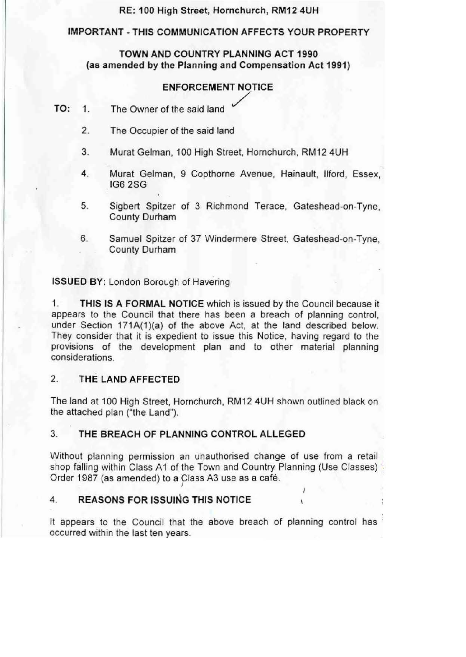# RE: 100 High Street, Hornchurch, RM12 4UH

#### IMPORTANT-THIS COMMUNICATION AFFECTS YOUR PROPERTY

# TOWN AND COUNTRY PLANNING ACT 1990 (as amended by the Planning and Compensation Act 1991)

#### ENFORCEMENT NOTICE

- TO: 1. The Owner of the said land
	- 2. The Occupier of the said land
	- 3. Murat Gelman, 100 High Street, Hornchurch, RM12 4UH
	- 4. Murat Gelman, 9 Copthorne Avenue, Hainault, Ilford, Essex, IG6 2SG
	- 5. Sigbert Spitzer of 3 Richmond Terace, Gateshead-on-Tyne, County Durham
	- 6. Samuel Spitzer of 37 Windermere Street, Gateshead-on-Tyne, County Durham

ISSUED BY: London Borough of Havering

1. THIS IS A FORMAL NOTICE which is issued by the Council because it appears to the Council that there has been a breach of planning control, under Section 171A(1)(a) of the above Act, at the land described below. They consider that it is expedient to issue this Notice, having regard to the provisions of the development plan and to other material planning considerations.

# 2. THE LAND AFFECTED

The land at 100 High Street, Hornchurch, RM12 4UH shown outlined black on the attached plan ("the Land").

### 3. THE BREACH OF PLANNING CONTROL ALLEGED

Without planning permission an unauthorised change of use from a retail shop falling within Class A1 of the Town and Country Planning (Use Classes) Order 1987 (as amended) to a Class A3 use as a café.

# 4. REASONS FOR ISSUING THIS NOTICE

It appears to the Council that the above breach of planning control has occurred within the last ten years.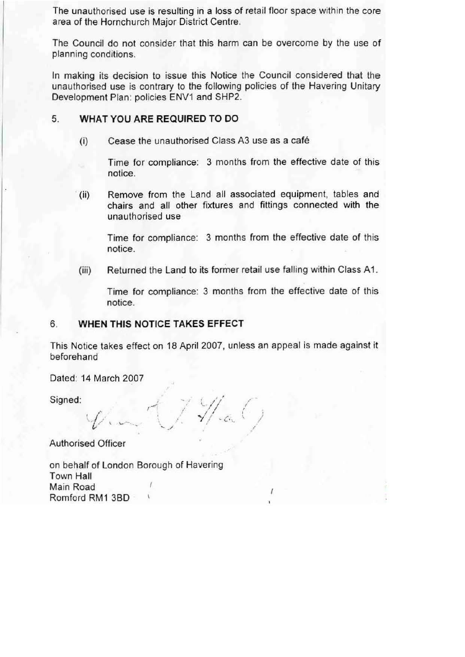The unauthorised use is resulting in a loss of retail floor space within the core area of the Hornchurch Major District Centre.

The Council do not consider that this harm can be overcome by the use of planning conditions.

In making its decision to issue this Notice the Council considered that the unauthorised use is contrary to the following policies of the Havering Unitary Development Plan: policies ENV1 and SHP2.

#### 5. **WHAT YOU ARE REQUIRED TO DO**

(i) Cease the unauthorised Class A3 use as a cafe

Time for compliance: 3 months from the effective date of this notice.

(ii) Remove from the Land all associated equipment. tables and chairs and all other fixtures and fittings connected with the unauthorised use

Time for compliance: 3 months from the effective date of this notice.

(iii) Returned the Land to its former retail use falling within Class A1.

Time for compliance: 3 months from the effective date of this notice.

#### 6. **WHEN THIS NOTICE TAKES EFFECT**

This Notice takes effect on 18 April 2007, unless an appeal is made against it beforehand

Dated: 14 March 2007

Signed:

'// <u>;</u> / <sub>j</sub> "- ...... \_ *"Y*,.*I* ~c-.. */*  I

Authorised Officer

on behalf of London Borough of Havering Town Hall Main Road Romford RM1 3BD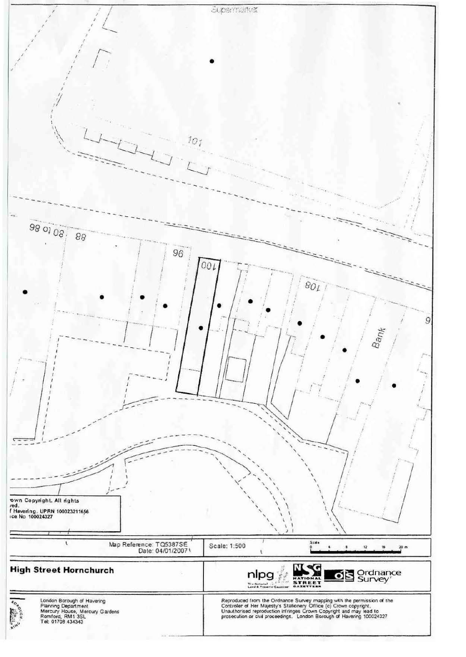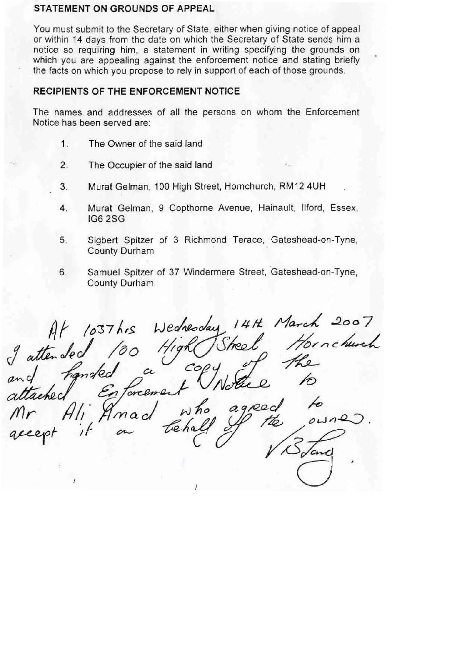#### **STATEMENT ON GROUNDS OF APPEAL**

You must submit to the Secretary of State, either when giving notice of appeal or within 14 days from the date on which the Secretary of State sends him a notice so requiring him, a statement in writing specifying the grounds on which you are appealing against the enforcement notice and stating briefly the facts on which you propose to rely in support of each of those grounds.

# **RECIPIENTS OF THE ENFORCEMENT NOTICE**

The names and addresses of all the persons on whom the Enforcement Notice has been served are:

- 1. The Owner of the said land
- 2. The Occupier of the said land
- 3. Murat Gelman, 100 High Street, Homchurch, RM12 4UH
- 4. Murat Gelman, 9 Copthorne Avenue, Hainault, Ilford, Essex, IG6 2SG
- 5. Sigbert Spitzer of 3 Richmond Terace, Gateshead-on-Tyne, County Durham
- 6. Samuel Spitzer of 37 Windermere Street, Gateshead-on-Tyne, County Durham

 $Alf$  /037 hrs Wednesday 14Ht March 2007 brachured attended 100 a  $H$ (a) and finded a copy<br>attached Enforcement Notice to accept it on tehall of the owner  $rac{3}{\pi}$